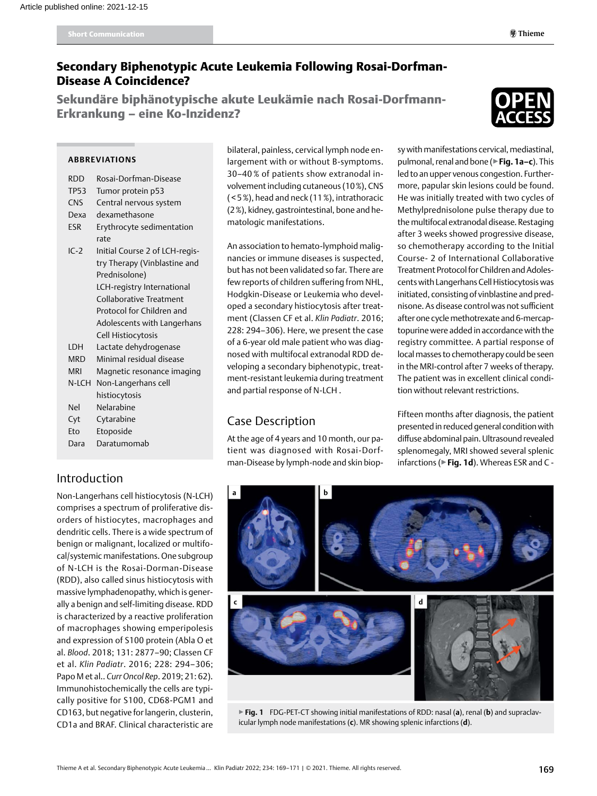# Secondary Biphenotypic Acute Leukemia Following Rosai-Dorfman-Disease A Coincidence?

Sekundäre biphänotypische akute Leukämie nach Rosai-Dorfmann-Erkrankung – eine Ko-Inzidenz?



### **Abbreviations**

- RDD Rosai-Dorfman-Disease
- TP53 Tumor protein p53
- CNS Central nervous system
- Dexa dexamethasone
- ESR Erythrocyte sedimentation rate
- IC-2 Initial Course 2 of LCH-registry Therapy (Vinblastine and Prednisolone) LCH-registry International Collaborative Treatment Protocol for Children and Adolescents with Langerhans Cell Histiocytosis LDH Lactate dehydrogenase MRD Minimal residual disease MRI Magnetic resonance imaging N-LCH Non-Langerhans cell histiocytosis Nel Nelarabine
- Cyt Cytarabine
- Eto Etoposide
- Dara Daratumomab

## Introduction

Non-Langerhans cell histiocytosis (N-LCH) comprises a spectrum of proliferative disorders of histiocytes, macrophages and dendritic cells. There is a wide spectrum of benign or malignant, localized or multifocal/systemic manifestations. One subgroup of N-LCH is the Rosai-Dorman-Disease (RDD), also called sinus histiocytosis with massive lymphadenopathy, which is generally a benign and self-limiting disease. RDD is characterized by a reactive proliferation of macrophages showing emperipolesis and expression of S100 protein (Abla O et al. *Blood*. 2018; 131: 2877–90; Classen CF et al. *Klin Padiatr*. 2016; 228: 294–306; Papo M et al.. *Curr Oncol Rep*. 2019; 21: 62). Immunohistochemically the cells are typically positive for S100, CD68-PGM1 and CD163, but negative for langerin, clusterin, CD1a and BRAF. Clinical characteristic are

bilateral, painless, cervical lymph node enlargement with or without B-symptoms. 30–40 % of patients show extranodal involvement including cutaneous (10%), CNS ( < 5%), head and neck (11%), intrathoracic (2%), kidney, gastrointestinal, bone and hematologic manifestations.

An association to hemato-lymphoid malignancies or immune diseases is suspected, but has not been validated so far. There are few reports of children suffering from NHL, Hodgkin-Disease or Leukemia who developed a secondary histiocytosis after treatment (Classen CF et al. *Klin Padiatr*. 2016; 228: 294–306). Here, we present the case of a 6-year old male patient who was diagnosed with multifocal extranodal RDD developing a secondary biphenotypic, treatment-resistant leukemia during treatment and partial response of N-LCH .

# Case Description

At the age of 4 years and 10 month, our patient was diagnosed with Rosai-Dorfman-Disease by lymph-node and skin biopsy with manifestations cervical, mediastinal, pulmonal, renal and bone (▶**Fig. 1a–c**). This led to an upper venous congestion. Furthermore, papular skin lesions could be found. He was initially treated with two cycles of Methylprednisolone pulse therapy due to the multifocal extranodal disease. Restaging after 3 weeks showed progressive disease, so chemotherapy according to the Initial Course- 2 of International Collaborative Treatment Protocol for Children and Adolescents with Langerhans Cell Histiocytosis was initiated, consisting of vinblastine and prednisone. As disease control was not sufficient after one cycle methotrexate and 6-mercaptopurine were added in accordance with the registry committee. A partial response of local masses to chemotherapy could be seen in the MRI-control after 7 weeks of therapy. The patient was in excellent clinical condition without relevant restrictions.

Fifteen months after diagnosis, the patient presented in reduced general condition with diffuse abdominal pain. Ultrasound revealed splenomegaly, MRI showed several splenic infarctions (▶**Fig. 1d**). Whereas ESR and C -



▶**Fig. 1** FDG-PET-CT showing initial manifestations of RDD: nasal (**a**), renal (**b**) and supraclavicular lymph node manifestations (**c**). MR showing splenic infarctions (**d**).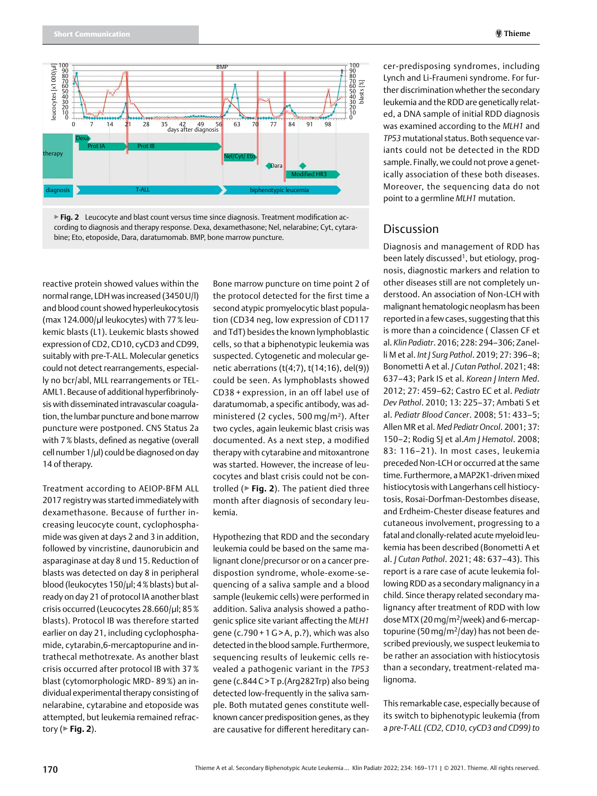



reactive protein showed values within the normal range, LDH was increased (3450 U/l) and blood count showed hyperleukocytosis (max 124.000/µl leukocytes) with 77% leukemic blasts (L1). Leukemic blasts showed expression of CD2, CD10, cyCD3 and CD99, suitably with pre-T-ALL. Molecular genetics could not detect rearrangements, especially no bcr/abl, MLL rearrangements or TEL-AML1. Because of additional hyperfibrinolysis with disseminated intravascular coagulation, the lumbar puncture and bone marrow puncture were postponed. CNS Status 2a with 7% blasts, defined as negative (overall cell number  $1/\mu$ l) could be diagnosed on day 14 of therapy.

Treatment according to AEIOP-BFM ALL 2017 registry was started immediately with dexamethasone. Because of further increasing leucocyte count, cyclophosphamide was given at days 2 and 3 in addition, followed by vincristine, daunorubicin and asparaginase at day 8 und 15. Reduction of blasts was detected on day 8 in peripheral blood (leukocytes 150/µl; 4% blasts) but already on day 21 of protocol IA another blast crisis occurred (Leucocytes 28.660/µl; 85% blasts). Protocol IB was therefore started earlier on day 21, including cyclophosphamide, cytarabin,6-mercaptopurine and intrathecal methotrexate. As another blast crisis occurred after protocol IB with 37 % blast (cytomorphologic MRD- 89%) an individual experimental therapy consisting of nelarabine, cytarabine and etoposide was attempted, but leukemia remained refractory (▶**Fig. 2**).

Bone marrow puncture on time point 2 of the protocol detected for the first time a second atypic promyelocytic blast population (CD34 neg, low expression of CD117 and TdT) besides the known lymphoblastic cells, so that a biphenotypic leukemia was suspected. Cytogenetic and molecular genetic aberrations (t(4;7), t(14;16), del(9)) could be seen. As lymphoblasts showed CD38 + expression, in an off label use of daratumomab, a specific antibody, was administered (2 cycles, 500 mg/m²). After two cycles, again leukemic blast crisis was documented. As a next step, a modified therapy with cytarabine and mitoxantrone was started. However, the increase of leucocytes and blast crisis could not be controlled (▶**Fig. 2**). The patient died three month after diagnosis of secondary leukemia.

Hypothezing that RDD and the secondary leukemia could be based on the same malignant clone/precursor or on a cancer predispostion syndrome, whole-exome-sequencing of a saliva sample and a blood sample (leukemic cells) were performed in addition. Saliva analysis showed a pathogenic splice site variant affecting the *MLH1* gene (c.790 + 1G> A, p.?), which was also detected in the blood sample. Furthermore, sequencing results of leukemic cells revealed a pathogenic variant in the *TP53* gene (c.844C> T p.(Arg282Trp) also being detected low-frequently in the saliva sample. Both mutated genes constitute wellknown cancer predisposition genes, as they are causative for different hereditary can-

cer-predisposing syndromes, including Lynch and Li-Fraumeni syndrome. For further discrimination whether the secondary leukemia and the RDD are genetically related, a DNA sample of initial RDD diagnosis was examined according to the *MLH1* and *TP53* mutational status. Both sequence variants could not be detected in the RDD sample. Finally, we could not prove a genetically association of these both diseases. Moreover, the sequencing data do not point to a germline *MLH1* mutation.

## **Discussion**

Diagnosis and management of RDD has been lately discussed<sup>1</sup>, but etiology, prognosis, diagnostic markers and relation to other diseases still are not completely understood. An association of Non-LCH with malignant hematologic neoplasm has been reported in a few cases, suggesting that this is more than a coincidence ( Classen CF et al. *Klin Padiatr*. 2016; 228: 294–306; Zanelli M et al. *Int J Surg Pathol*. 2019; 27: 396–8; Bonometti A et al. *J Cutan Pathol*. 2021; 48: 637–43; Park IS et al. *Korean J Intern Med*. 2012; 27: 459–62; Castro EC et al. *Pediatr Dev Pathol*. 2010; 13: 225–37; Ambati S et al. *Pediatr Blood Cancer*. 2008; 51: 433–5; Allen MR et al. *Med Pediatr Oncol*. 2001; 37: 150–2; Rodig SJ et al.*Am J Hematol*. 2008; 83: 116–21). In most cases, leukemia preceded Non-LCH or occurred at the same time. Furthermore, a MAP2K1-driven mixed histiocytosis with Langerhans cell histiocytosis, Rosai-Dorfman-Destombes disease, and Erdheim-Chester disease features and cutaneous involvement, progressing to a fatal and clonally-related acute myeloid leukemia has been described (Bonometti A et al. *J Cutan Pathol*. 2021; 48: 637–43). This report is a rare case of acute leukemia following RDD as a secondary malignancy in a child. Since therapy related secondary malignancy after treatment of RDD with low dose MTX (20mg/m2/week) and 6-mercaptopurine (50 mg/m<sup>2</sup>/day) has not been described previously, we suspect leukemia to be rather an association with histiocytosis than a secondary, treatment-related malignoma.

This remarkable case, especially because of its switch to biphenotypic leukemia (from a *pre-T-ALL (CD2, CD10, cyCD3 and CD99) to*